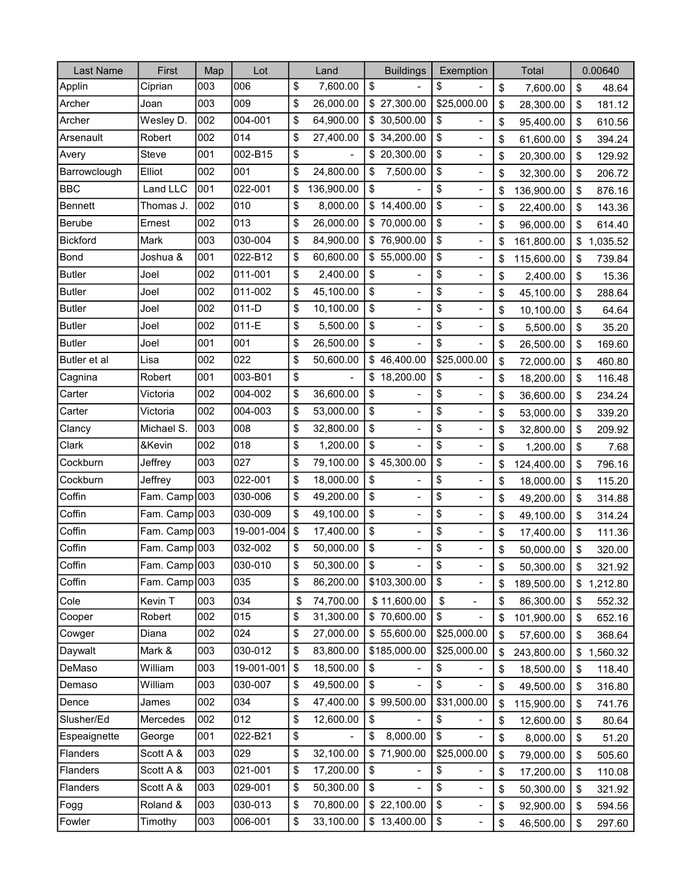| Last Name       | First         | Map | Lot        | Land                           | <b>Buildings</b>               | Exemption                      | Total            | 0.00640        |
|-----------------|---------------|-----|------------|--------------------------------|--------------------------------|--------------------------------|------------------|----------------|
| Applin          | Ciprian       | 003 | 006        | \$<br>7,600.00                 | \$                             | \$                             | \$<br>7,600.00   | \$<br>48.64    |
| Archer          | Joan          | 003 | 009        | \$<br>26,000.00                | \$27,300.00                    | \$25,000.00                    | \$<br>28,300.00  | \$<br>181.12   |
| Archer          | Wesley D.     | 002 | 004-001    | \$<br>64,900.00                | \$30,500.00                    | \$                             | \$<br>95,400.00  | \$<br>610.56   |
| Arsenault       | Robert        | 002 | 014        | \$<br>27,400.00                | \$34,200.00                    | \$<br>$\overline{\phantom{0}}$ | \$<br>61,600.00  | \$<br>394.24   |
| Avery           | Steve         | 001 | 002-B15    | \$                             | \$20,300.00                    | \$                             | \$<br>20,300.00  | \$<br>129.92   |
| Barrowclough    | Elliot        | 002 | 001        | \$<br>24,800.00                | \$<br>7,500.00                 | \$<br>$\overline{\phantom{0}}$ | \$<br>32,300.00  | \$<br>206.72   |
| <b>BBC</b>      | Land LLC      | 001 | 022-001    | \$<br>136,900.00               | \$                             | \$                             | \$<br>136,900.00 | \$<br>876.16   |
| <b>Bennett</b>  | Thomas J.     | 002 | 010        | \$<br>8,000.00                 | \$14,400.00                    | \$<br>$\overline{\phantom{0}}$ | \$<br>22,400.00  | \$<br>143.36   |
| Berube          | Ernest        | 002 | 013        | \$<br>26,000.00                | \$70,000.00                    | \$                             | \$<br>96,000.00  | \$<br>614.40   |
| <b>Bickford</b> | Mark          | 003 | 030-004    | \$<br>84,900.00                | \$76,900.00                    | \$<br>$\blacksquare$           | \$<br>161,800.00 | \$<br>1,035.52 |
| Bond            | Joshua &      | 001 | 022-B12    | \$<br>60,600.00                | \$55,000.00                    | \$                             | \$<br>115,600.00 | \$<br>739.84   |
| <b>Butler</b>   | Joel          | 002 | 011-001    | \$<br>2,400.00                 | \$                             | \$<br>$\overline{\phantom{0}}$ | \$<br>2,400.00   | \$<br>15.36    |
| <b>Butler</b>   | Joel          | 002 | 011-002    | \$<br>45,100.00                | \$                             | \$                             | \$<br>45,100.00  | \$<br>288.64   |
| <b>Butler</b>   | Joel          | 002 | $011-D$    | \$<br>10,100.00                | \$<br>$\overline{\phantom{a}}$ | \$<br>$\overline{\phantom{0}}$ | \$<br>10,100.00  | \$<br>64.64    |
| <b>Butler</b>   | Joel          | 002 | $011-E$    | \$<br>5,500.00                 | \$                             | \$                             | \$<br>5,500.00   | \$<br>35.20    |
| <b>Butler</b>   | Joel          | 001 | 001        | \$<br>26,500.00                | \$<br>$\overline{\phantom{a}}$ | \$                             | \$<br>26,500.00  | \$<br>169.60   |
| Butler et al    | Lisa          | 002 | 022        | \$<br>50,600.00                | \$46,400.00                    | \$25,000.00                    | \$<br>72,000.00  | \$<br>460.80   |
| Cagnina         | Robert        | 001 | 003-B01    | \$<br>$\overline{a}$           | \$18,200.00                    | \$                             | \$<br>18,200.00  | \$<br>116.48   |
| Carter          | Victoria      | 002 | 004-002    | \$<br>36,600.00                | \$                             | \$<br>$\overline{\phantom{0}}$ | \$<br>36,600.00  | \$<br>234.24   |
| Carter          | Victoria      | 002 | 004-003    | \$<br>53,000.00                | \$<br>$\blacksquare$           | \$<br>$\overline{\phantom{0}}$ | \$<br>53,000.00  | \$<br>339.20   |
| Clancy          | Michael S.    | 003 | 008        | \$<br>32,800.00                | \$<br>$\overline{\phantom{0}}$ | \$<br>$\overline{\phantom{0}}$ | \$<br>32,800.00  | \$<br>209.92   |
| Clark           | &Kevin        | 002 | 018        | \$<br>1,200.00                 | \$<br>$\blacksquare$           | \$<br>$\overline{\phantom{0}}$ | \$<br>1,200.00   | \$<br>7.68     |
| Cockburn        | Jeffrey       | 003 | 027        | \$<br>79,100.00                | \$45,300.00                    | \$<br>$\overline{\phantom{0}}$ | \$<br>124,400.00 | \$<br>796.16   |
| Cockburn        | Jeffrey       | 003 | 022-001    | \$<br>18,000.00                | \$                             | \$<br>$\overline{\phantom{0}}$ | \$<br>18,000.00  | \$<br>115.20   |
| Coffin          | Fam. Camp     | 003 | 030-006    | \$<br>49,200.00                | \$<br>$\overline{a}$           | \$<br>$\overline{\phantom{0}}$ | \$<br>49,200.00  | \$<br>314.88   |
| Coffin          | Fam. Camp 003 |     | 030-009    | \$<br>49,100.00                | \$                             | \$                             | \$<br>49,100.00  | \$<br>314.24   |
| Coffin          | Fam. Camp     | 003 | 19-001-004 | \$<br>17,400.00                | \$<br>-                        | \$                             | \$<br>17,400.00  | \$<br>111.36   |
| Coffin          | Fam. Camp 003 |     | 032-002    | \$<br>50,000.00                | \$<br>$\overline{a}$           | \$                             | \$<br>50,000.00  | \$<br>320.00   |
| Coffin          | Fam. Camp 003 |     | 030-010    | \$<br>50,300.00                | \$                             | \$                             | \$<br>50,300.00  | \$<br>321.92   |
| Coffin          | Fam. Camp 003 |     | 035        | \$<br>86,200.00                | \$103,300.00                   | \$                             | \$<br>189,500.00 | \$<br>1,212.80 |
| Cole            | Kevin T       | 003 | 034        | \$<br>74,700.00                | \$11,600.00                    | \$<br>$\blacksquare$           | \$<br>86,300.00  | \$<br>552.32   |
| Cooper          | Robert        | 002 | 015        | \$<br>31,300.00                | \$70,600.00                    | \$                             | \$<br>101,900.00 | \$<br>652.16   |
| Cowger          | Diana         | 002 | 024        | \$<br>27,000.00                | \$55,600.00                    | \$25,000.00                    | \$<br>57,600.00  | \$<br>368.64   |
| Daywalt         | Mark &        | 003 | 030-012    | \$<br>83,800.00                | \$185,000.00                   | \$25,000.00                    | \$<br>243,800.00 | \$<br>1,560.32 |
| DeMaso          | William       | 003 | 19-001-001 | \$<br>18,500.00                | \$                             | \$                             | \$<br>18,500.00  | \$<br>118.40   |
| Demaso          | William       | 003 | 030-007    | \$<br>49,500.00                | \$                             | \$                             | \$<br>49,500.00  | \$<br>316.80   |
| Dence           | James         | 002 | 034        | \$<br>47,400.00                | \$99,500.00                    | \$31,000.00                    | \$<br>115,900.00 | \$<br>741.76   |
| Slusher/Ed      | Mercedes      | 002 | 012        | \$<br>12,600.00                | \$                             | \$                             | \$<br>12,600.00  | \$<br>80.64    |
| Espeaignette    | George        | 001 | 022-B21    | \$<br>$\overline{\phantom{0}}$ | \$<br>8,000.00                 | \$<br>$\overline{\phantom{a}}$ | \$<br>8,000.00   | \$<br>51.20    |
| Flanders        | Scott A &     | 003 | 029        | \$<br>32,100.00                | \$71,900.00                    | \$25,000.00                    | \$<br>79,000.00  | \$<br>505.60   |
| Flanders        | Scott A &     | 003 | 021-001    | \$<br>17,200.00                | \$                             | \$                             | \$<br>17,200.00  | \$<br>110.08   |
| Flanders        | Scott A &     | 003 | 029-001    | \$<br>50,300.00                | \$                             | \$                             | \$<br>50,300.00  | \$<br>321.92   |
| Fogg            | Roland &      | 003 | 030-013    | \$<br>70,800.00                | \$22,100.00                    | \$                             | \$<br>92,900.00  | \$<br>594.56   |
| Fowler          | Timothy       | 003 | 006-001    | \$<br>33,100.00                | \$13,400.00                    | \$                             | \$<br>46,500.00  | \$<br>297.60   |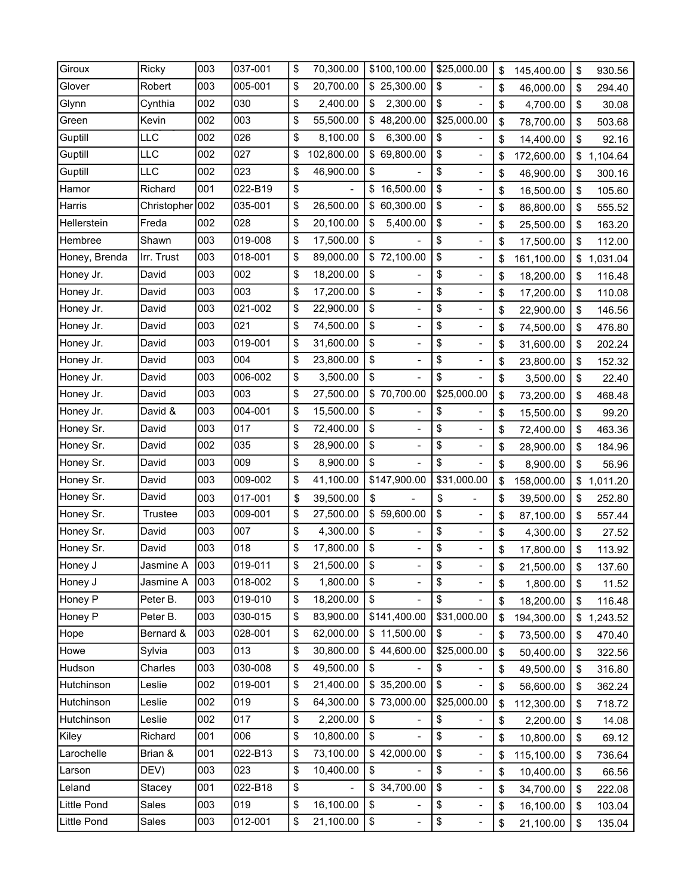| Giroux        | Ricky       | 003 | 037-001 | \$<br>70,300.00  | \$100,100.00                   | \$25,000.00                        | \$<br>145,400.00 | \$<br>930.56   |
|---------------|-------------|-----|---------|------------------|--------------------------------|------------------------------------|------------------|----------------|
| Glover        | Robert      | 003 | 005-001 | \$<br>20,700.00  | \$25,300.00                    | \$                                 | \$<br>46,000.00  | \$<br>294.40   |
| Glynn         | Cynthia     | 002 | 030     | \$<br>2,400.00   | 2,300.00<br>\$                 | \$<br>-                            | \$<br>4,700.00   | \$<br>30.08    |
| Green         | Kevin       | 002 | 003     | \$<br>55,500.00  | \$48,200.00                    | \$25,000.00                        | \$<br>78,700.00  | \$<br>503.68   |
| Guptill       | LLC         | 002 | 026     | \$<br>8,100.00   | \$<br>6,300.00                 | \$                                 | \$<br>14,400.00  | \$<br>92.16    |
| Guptill       | <b>LLC</b>  | 002 | 027     | \$<br>102,800.00 | \$69,800.00                    | \$<br>$\blacksquare$               | \$<br>172,600.00 | \$<br>1,104.64 |
| Guptill       | LLC         | 002 | 023     | \$<br>46,900.00  | \$                             | \$<br>$\qquad \qquad \blacksquare$ | \$<br>46,900.00  | \$<br>300.16   |
| Hamor         | Richard     | 001 | 022-B19 | \$               | \$16,500.00                    | \$                                 | \$<br>16,500.00  | \$<br>105.60   |
| Harris        | Christopher | 002 | 035-001 | \$<br>26,500.00  | \$60,300.00                    | \$<br>$\frac{1}{2}$                | \$<br>86,800.00  | \$<br>555.52   |
| Hellerstein   | Freda       | 002 | 028     | \$<br>20,100.00  | 5,400.00<br>\$                 | \$                                 | \$<br>25,500.00  | \$<br>163.20   |
| Hembree       | Shawn       | 003 | 019-008 | \$<br>17,500.00  | \$                             | \$<br>$\frac{1}{2}$                | \$<br>17,500.00  | \$<br>112.00   |
| Honey, Brenda | Irr. Trust  | 003 | 018-001 | \$<br>89,000.00  | \$72,100.00                    | \$                                 | \$<br>161,100.00 | \$<br>1,031.04 |
| Honey Jr.     | David       | 003 | 002     | \$<br>18,200.00  | \$                             | \$<br>-                            | \$<br>18,200.00  | \$<br>116.48   |
| Honey Jr.     | David       | 003 | 003     | \$<br>17,200.00  | \$                             | \$                                 | \$<br>17,200.00  | \$<br>110.08   |
| Honey Jr.     | David       | 003 | 021-002 | \$<br>22,900.00  | \$<br>-                        | \$<br>$\qquad \qquad \blacksquare$ | \$<br>22,900.00  | \$<br>146.56   |
| Honey Jr.     | David       | 003 | 021     | \$<br>74,500.00  | \$                             | \$                                 | \$<br>74,500.00  | \$<br>476.80   |
| Honey Jr.     | David       | 003 | 019-001 | \$<br>31,600.00  | \$<br>$\overline{\phantom{0}}$ | \$<br>$\overline{\phantom{0}}$     | \$<br>31,600.00  | \$<br>202.24   |
| Honey Jr.     | David       | 003 | 004     | \$<br>23,800.00  | \$<br>$\overline{\phantom{0}}$ | \$                                 | \$<br>23,800.00  | \$<br>152.32   |
| Honey Jr.     | David       | 003 | 006-002 | \$<br>3,500.00   | \$<br>$\blacksquare$           | \$<br>$\frac{1}{2}$                | \$<br>3,500.00   | \$<br>22.40    |
| Honey Jr.     | David       | 003 | 003     | \$<br>27,500.00  | \$70,700.00                    | \$25,000.00                        | \$<br>73,200.00  | \$<br>468.48   |
| Honey Jr.     | David &     | 003 | 004-001 | \$<br>15,500.00  | \$                             | \$                                 | \$<br>15,500.00  | \$<br>99.20    |
| Honey Sr.     | David       | 003 | 017     | \$<br>72,400.00  | \$<br>$\overline{a}$           | \$<br>$\overline{\phantom{0}}$     | \$<br>72,400.00  | \$<br>463.36   |
| Honey Sr.     | David       | 002 | 035     | \$<br>28,900.00  | \$<br>$\overline{a}$           | \$<br>-                            | \$<br>28,900.00  | \$<br>184.96   |
| Honey Sr.     | David       | 003 | 009     | \$<br>8,900.00   | \$                             | \$                                 | \$<br>8,900.00   | \$<br>56.96    |
| Honey Sr.     | David       | 003 | 009-002 | \$<br>41,100.00  | \$147,900.00                   | \$31,000.00                        | \$<br>158,000.00 | \$<br>1,011.20 |
| Honey Sr.     | David       | 003 | 017-001 | \$<br>39,500.00  | \$                             | \$<br>$\overline{\phantom{0}}$     | \$<br>39,500.00  | \$<br>252.80   |
| Honey Sr.     | Trustee     | 003 | 009-001 | \$<br>27,500.00  | \$59,600.00                    | \$<br>$\qquad \qquad \blacksquare$ | \$<br>87,100.00  | \$<br>557.44   |
| Honey Sr.     | David       | 003 | 007     | \$<br>4,300.00   | \$                             | \$<br>$\overline{\phantom{0}}$     | \$<br>4,300.00   | \$<br>27.52    |
| Honey Sr.     | David       | 003 | 018     | \$<br>17,800.00  | \$<br>$\overline{\phantom{0}}$ | \$                                 | \$<br>17,800.00  | \$<br>113.92   |
| Honey J       | Jasmine A   | 003 | 019-011 | \$<br>21,500.00  | \$                             | \$                                 | \$<br>21,500.00  | \$<br>137.60   |
| Honey J       | Jasmine A   | 003 | 018-002 | \$<br>1,800.00   | \$                             | \$                                 | \$<br>1,800.00   | \$<br>11.52    |
| Honey P       | Peter B.    | 003 | 019-010 | \$<br>18,200.00  | \$<br>$\overline{\phantom{0}}$ | \$<br>$\blacksquare$               | \$<br>18,200.00  | \$<br>116.48   |
| Honey P       | Peter B.    | 003 | 030-015 | \$<br>83,900.00  | \$141,400.00                   | \$31,000.00                        | \$<br>194,300.00 | \$<br>1,243.52 |
| Hope          | Bernard &   | 003 | 028-001 | \$<br>62,000.00  | \$11,500.00                    | \$                                 | \$<br>73,500.00  | \$<br>470.40   |
| Howe          | Sylvia      | 003 | 013     | \$<br>30,800.00  | \$44,600.00                    | \$25,000.00                        | \$<br>50,400.00  | \$<br>322.56   |
| Hudson        | Charles     | 003 | 030-008 | \$<br>49,500.00  | \$                             | \$                                 | \$<br>49,500.00  | \$<br>316.80   |
| Hutchinson    | Leslie      | 002 | 019-001 | \$<br>21,400.00  | \$35,200.00                    | \$                                 | \$<br>56,600.00  | \$<br>362.24   |
| Hutchinson    | Leslie      | 002 | 019     | \$<br>64,300.00  | \$73,000.00                    | \$25,000.00                        | \$<br>112,300.00 | \$<br>718.72   |
| Hutchinson    | Leslie      | 002 | 017     | \$<br>2,200.00   | \$                             | \$                                 | \$<br>2,200.00   | \$<br>14.08    |
| Kiley         | Richard     | 001 | 006     | \$<br>10,800.00  | \$                             | \$<br>$\blacksquare$               | \$<br>10,800.00  | \$<br>69.12    |
| Larochelle    | Brian &     | 001 | 022-B13 | \$<br>73,100.00  | \$42,000.00                    | \$                                 | \$<br>115,100.00 | \$<br>736.64   |
| Larson        | DEV)        | 003 | 023     | \$<br>10,400.00  | \$                             | \$<br>-                            | \$<br>10,400.00  | \$<br>66.56    |
| Leland        | Stacey      | 001 | 022-B18 | \$               | \$34,700.00                    | \$<br>$\qquad \qquad \blacksquare$ | \$<br>34,700.00  | \$<br>222.08   |
| Little Pond   | Sales       | 003 | 019     | \$<br>16,100.00  | \$                             | \$<br>$\frac{1}{2}$                | \$<br>16,100.00  | \$<br>103.04   |
| Little Pond   | Sales       | 003 | 012-001 | \$<br>21,100.00  | \$                             | \$<br>$\overline{\phantom{a}}$     | \$<br>21,100.00  | \$<br>135.04   |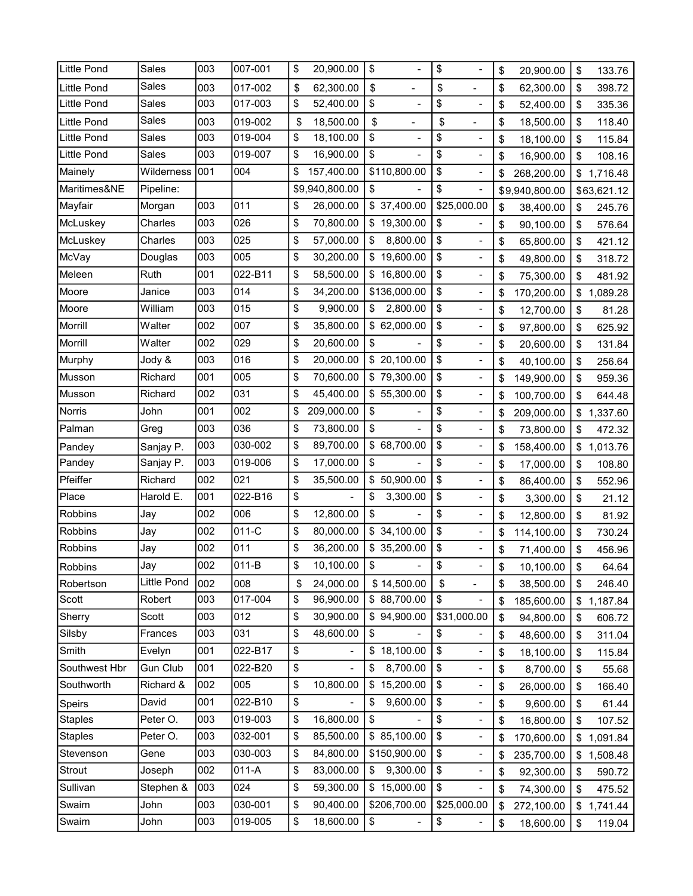| <b>Little Pond</b> | Sales           | 003 | 007-001 | \$<br>20,900.00      | \$                       | \$                             | \$<br>20,900.00  | \$<br>133.76   |
|--------------------|-----------------|-----|---------|----------------------|--------------------------|--------------------------------|------------------|----------------|
| Little Pond        | Sales           | 003 | 017-002 | \$<br>62,300.00      | \$                       | \$                             | \$<br>62,300.00  | \$<br>398.72   |
| Little Pond        | Sales           | 003 | 017-003 | \$<br>52,400.00      | \$<br>$\frac{1}{2}$      | \$<br>$\overline{\phantom{0}}$ | \$<br>52,400.00  | \$<br>335.36   |
| <b>Little Pond</b> | Sales           | 003 | 019-002 | \$<br>18,500.00      | \$                       | \$                             | \$<br>18,500.00  | \$<br>118.40   |
| Little Pond        | Sales           | 003 | 019-004 | \$<br>18,100.00      | \$                       | \$<br>$\overline{\phantom{0}}$ | \$<br>18,100.00  | \$<br>115.84   |
| <b>Little Pond</b> | Sales           | 003 | 019-007 | \$<br>16,900.00      | \$                       | \$                             | \$<br>16,900.00  | \$<br>108.16   |
| Mainely            | Wilderness      | 001 | 004     | \$<br>157,400.00     | \$110,800.00             | \$<br>$\overline{\phantom{0}}$ | \$<br>268,200.00 | \$<br>1,716.48 |
| Maritimes&NE       | Pipeline:       |     |         | \$9,940,800.00       | \$                       | \$                             | \$9,940,800.00   | \$63,621.12    |
| Mayfair            | Morgan          | 003 | 011     | \$<br>26,000.00      | \$37,400.00              | \$25,000.00                    | \$<br>38,400.00  | \$<br>245.76   |
| McLuskey           | Charles         | 003 | 026     | \$<br>70,800.00      | \$19,300.00              | \$                             | \$<br>90,100.00  | \$<br>576.64   |
| McLuskey           | Charles         | 003 | 025     | \$<br>57,000.00      | \$<br>8,800.00           | \$<br>$\blacksquare$           | \$<br>65,800.00  | \$<br>421.12   |
| McVay              | Douglas         | 003 | 005     | \$<br>30,200.00      | \$19,600.00              | \$                             | \$<br>49,800.00  | \$<br>318.72   |
| Meleen             | Ruth            | 001 | 022-B11 | \$<br>58,500.00      | \$16,800.00              | \$<br>$\blacksquare$           | \$<br>75,300.00  | \$<br>481.92   |
| Moore              | Janice          | 003 | 014     | \$<br>34,200.00      | \$136,000.00             | \$                             | \$<br>170,200.00 | 1,089.28       |
| Moore              | William         | 003 | 015     | \$<br>9,900.00       | \$<br>2,800.00           | \$<br>$\blacksquare$           | \$<br>12,700.00  | \$<br>81.28    |
| Morrill            | Walter          | 002 | 007     | \$<br>35,800.00      | \$62,000.00              | \$                             | \$<br>97,800.00  | \$<br>625.92   |
| Morrill            | Walter          | 002 | 029     | \$<br>20,600.00      | \$                       | \$                             | \$<br>20,600.00  | \$<br>131.84   |
| Murphy             | Jody &          | 003 | 016     | \$<br>20,000.00      | \$20,100.00              | \$<br>$\overline{\phantom{0}}$ | \$<br>40,100.00  | \$<br>256.64   |
| Musson             | Richard         | 001 | 005     | \$<br>70,600.00      | \$79,300.00              | \$<br>$\overline{\phantom{0}}$ | \$<br>149,900.00 | \$<br>959.36   |
| Musson             | Richard         | 002 | 031     | \$<br>45,400.00      | \$55,300.00              | \$<br>$\overline{\phantom{0}}$ | \$<br>100,700.00 | \$<br>644.48   |
| Norris             | John            | 001 | 002     | \$<br>209,000.00     | \$                       | \$<br>$\overline{\phantom{0}}$ | \$<br>209,000.00 | \$<br>1,337.60 |
| Palman             | Greg            | 003 | 036     | \$<br>73,800.00      | \$                       | \$<br>$\overline{\phantom{0}}$ | \$<br>73,800.00  | \$<br>472.32   |
| Pandey             | Sanjay P.       | 003 | 030-002 | \$<br>89,700.00      | \$68,700.00              | \$<br>$\overline{\phantom{0}}$ | \$<br>158,400.00 | \$<br>1,013.76 |
| Pandey             | Sanjay P.       | 003 | 019-006 | \$<br>17,000.00      | \$                       | \$<br>$\overline{\phantom{0}}$ | \$<br>17,000.00  | \$<br>108.80   |
| Pfeiffer           | Richard         | 002 | 021     | \$<br>35,500.00      | \$50,900.00              | \$<br>$\overline{\phantom{0}}$ | \$<br>86,400.00  | \$<br>552.96   |
| Place              | Harold E.       | 001 | 022-B16 | \$                   | \$<br>3,300.00           | \$<br>$\overline{\phantom{0}}$ | \$<br>3,300.00   | \$<br>21.12    |
| <b>Robbins</b>     | Jay             | 002 | 006     | \$<br>12,800.00      | \$                       | \$                             | \$<br>12,800.00  | \$<br>81.92    |
| Robbins            | Jay             | 002 | 011-C   | \$<br>80,000.00      | \$34,100.00              | \$<br>$\blacksquare$           | \$<br>114,100.00 | \$<br>730.24   |
| Robbins            | Jay             | 002 | 011     | \$<br>36,200.00      | \$35,200.00              | \$<br>$\overline{\phantom{0}}$ | \$<br>71,400.00  | \$<br>456.96   |
| Robbins            | Jay             | 002 | 011-B   | \$<br>10,100.00      | \$                       | \$                             | \$<br>10,100.00  | \$<br>64.64    |
| Robertson          | Little Pond     | 002 | 008     | \$<br>24,000.00      | \$14,500.00              | \$                             | \$<br>38,500.00  | \$<br>246.40   |
| Scott              | Robert          | 003 | 017-004 | \$<br>96,900.00      | \$88,700.00              | \$<br>$\blacksquare$           | \$<br>185,600.00 | \$<br>1,187.84 |
| Sherry             | Scott           | 003 | 012     | \$<br>30,900.00      | \$94,900.00              | \$31,000.00                    | \$<br>94,800.00  | \$<br>606.72   |
| Silsby             | Frances         | 003 | 031     | \$<br>48,600.00      | \$                       | \$                             | \$<br>48,600.00  | \$<br>311.04   |
| Smith              | Evelyn          | 001 | 022-B17 | \$                   | \$18,100.00              | \$                             | \$<br>18,100.00  | \$<br>115.84   |
| Southwest Hbr      | <b>Gun Club</b> | 001 | 022-B20 | \$<br>$\blacksquare$ | 8,700.00<br>\$           | \$<br>$\overline{\phantom{0}}$ | \$<br>8,700.00   | \$<br>55.68    |
| Southworth         | Richard &       | 002 | 005     | \$<br>10,800.00      | \$15,200.00              | \$                             | \$<br>26,000.00  | \$<br>166.40   |
| Speirs             | David           | 001 | 022-B10 | \$                   | \$<br>9,600.00           | \$                             | \$<br>9,600.00   | \$<br>61.44    |
| <b>Staples</b>     | Peter O.        | 003 | 019-003 | \$<br>16,800.00      | \$                       | \$                             | \$<br>16,800.00  | \$<br>107.52   |
| <b>Staples</b>     | Peter O.        | 003 | 032-001 | \$<br>85,500.00      | \$85,100.00              | \$<br>$\overline{\phantom{0}}$ | \$<br>170,600.00 | \$<br>1,091.84 |
| Stevenson          | Gene            | 003 | 030-003 | \$<br>84,800.00      | \$150,900.00             | \$                             | \$<br>235,700.00 | \$<br>1,508.48 |
| Strout             | Joseph          | 002 | 011-A   | \$<br>83,000.00      | 9,300.00<br>$\mathbb{S}$ | \$                             | \$<br>92,300.00  | \$<br>590.72   |
| Sullivan           | Stephen &       | 003 | 024     | \$<br>59,300.00      | \$15,000.00              | \$                             | \$<br>74,300.00  | \$<br>475.52   |
| Swaim              | John            | 003 | 030-001 | \$<br>90,400.00      | \$206,700.00             | \$25,000.00                    | \$<br>272,100.00 | \$<br>1,741.44 |
| Swaim              | John            | 003 | 019-005 | \$<br>18,600.00      | \$                       | \$                             | \$<br>18,600.00  | \$<br>119.04   |